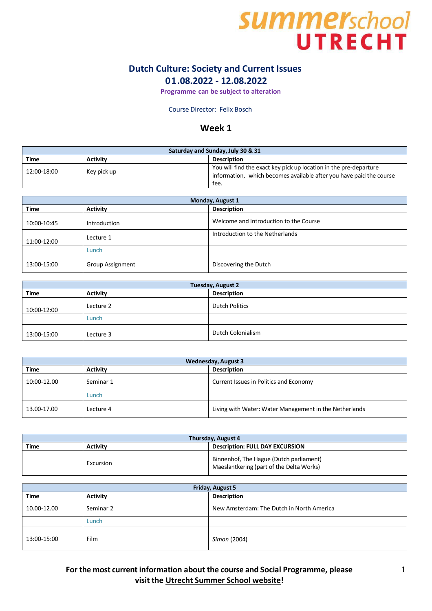# **SUMMEY**school<br>UTRECHT

## **Dutch Culture: Society and Current Issues 01.08.2022 - 12.08.2022**

**Programme can be subject to alteration**

Course Director: Felix Bosch

### **Week 1**

| Saturday and Sunday, July 30 & 31 |                 |                                                                     |
|-----------------------------------|-----------------|---------------------------------------------------------------------|
| <b>Time</b>                       | <b>Activity</b> | <b>Description</b>                                                  |
| 12:00-18:00                       | Key pick up     | You will find the exact key pick up location in the pre-departure   |
|                                   |                 | information, which becomes available after you have paid the course |
|                                   |                 | fee.                                                                |

| Monday, August 1 |                         |                                        |
|------------------|-------------------------|----------------------------------------|
| <b>Time</b>      | <b>Activity</b>         | <b>Description</b>                     |
| 10:00-10:45      | Introduction            | Welcome and Introduction to the Course |
| 11:00-12:00      | Lecture 1               | Introduction to the Netherlands        |
|                  | Lunch                   |                                        |
| 13:00-15:00      | <b>Group Assignment</b> | Discovering the Dutch                  |

| Tuesday, August 2 |                 |                       |
|-------------------|-----------------|-----------------------|
| <b>Time</b>       | <b>Activity</b> | <b>Description</b>    |
| 10:00-12:00       | Lecture 2       | <b>Dutch Politics</b> |
|                   | Lunch           |                       |
| 13:00-15:00       | Lecture 3       | Dutch Colonialism     |

| <b>Wednesday, August 3</b> |                 |                                                        |
|----------------------------|-----------------|--------------------------------------------------------|
| <b>Time</b>                | <b>Activity</b> | <b>Description</b>                                     |
| 10:00-12.00                | Seminar 1       | Current Issues in Politics and Economy                 |
|                            | Lunch           |                                                        |
| 13.00-17.00                | Lecture 4       | Living with Water: Water Management in the Netherlands |

| Thursday, August 4 |                 |                                                                                     |
|--------------------|-----------------|-------------------------------------------------------------------------------------|
| <b>Time</b>        | <b>Activity</b> | <b>Description: FULL DAY EXCURSION</b>                                              |
|                    | Excursion       | Binnenhof, The Hague (Dutch parliament)<br>Maeslantkering (part of the Delta Works) |

| <b>Friday, August 5</b> |                 |                                           |
|-------------------------|-----------------|-------------------------------------------|
| <b>Time</b>             | <b>Activity</b> | <b>Description</b>                        |
| 10.00-12.00             | Seminar 2       | New Amsterdam: The Dutch in North America |
|                         | Lunch           |                                           |
| 13:00-15:00             | <b>Film</b>     | Simon (2004)                              |

**For the most current information about the course and Social Programme, please** 1 **visit the Utrecht [Summer](http://www.utrechtsummerschool.nl/index.php?type=content&page=socialprogramme) School website!**